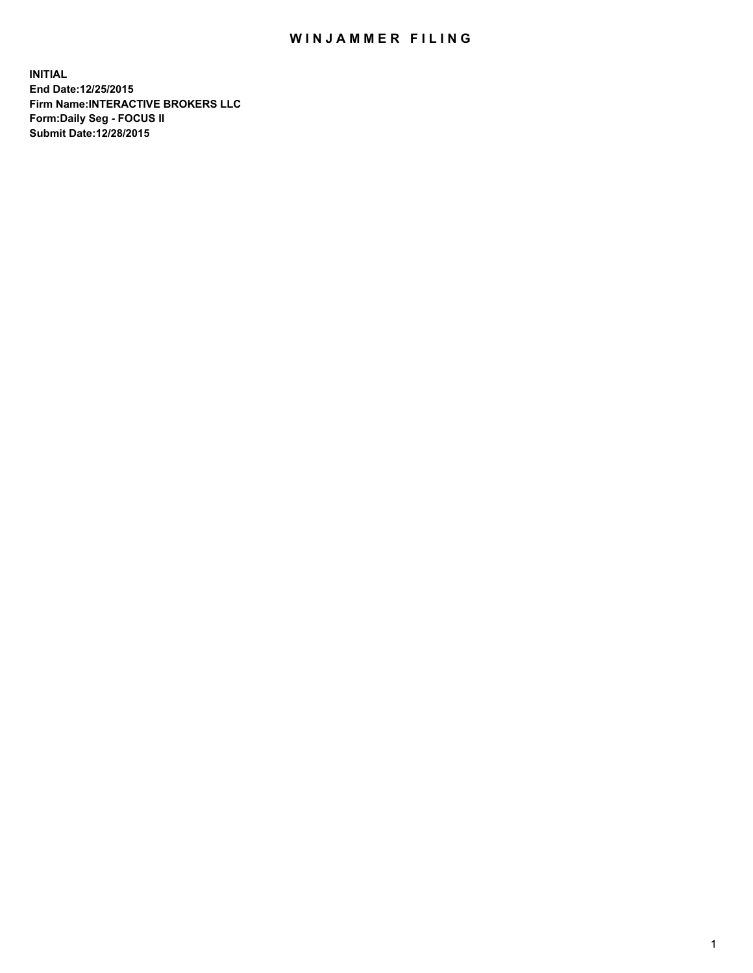## WIN JAMMER FILING

**INITIAL End Date:12/25/2015 Firm Name:INTERACTIVE BROKERS LLC Form:Daily Seg - FOCUS II Submit Date:12/28/2015**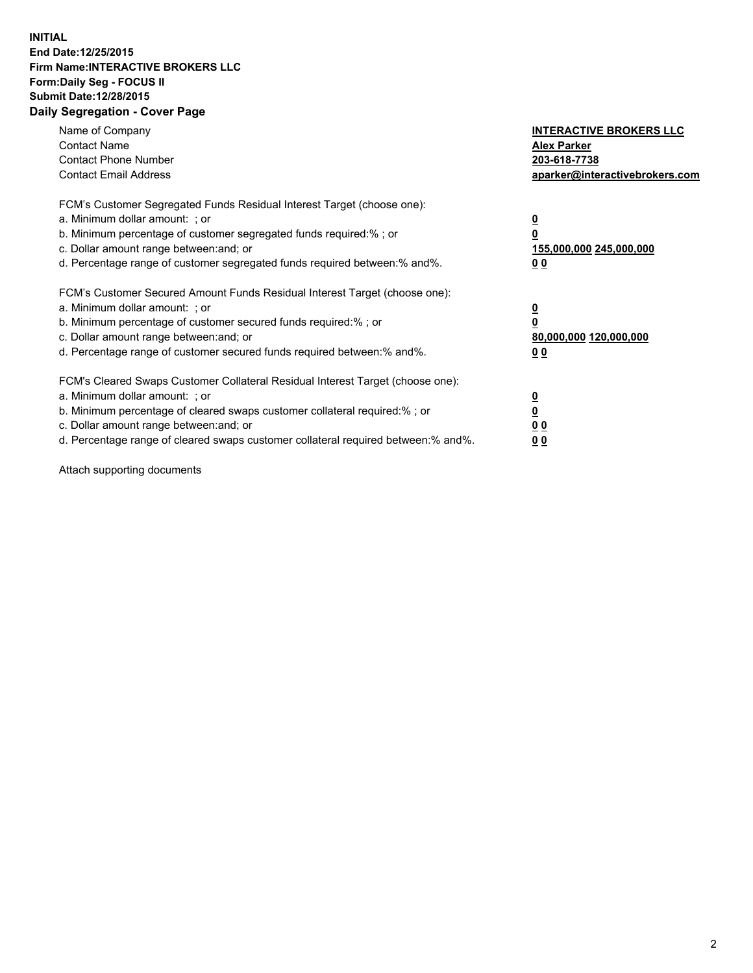## **INITIAL End Date:12/25/2015 Firm Name:INTERACTIVE BROKERS LLC Form:Daily Seg - FOCUS II Submit Date:12/28/2015 Daily Segregation - Cover Page**

| Name of Company<br><b>Contact Name</b><br><b>Contact Phone Number</b><br><b>Contact Email Address</b>                                                                                                                                                                                                                         | <b>INTERACTIVE BROKERS LLC</b><br><b>Alex Parker</b><br>203-618-7738<br>aparker@interactivebrokers.com |
|-------------------------------------------------------------------------------------------------------------------------------------------------------------------------------------------------------------------------------------------------------------------------------------------------------------------------------|--------------------------------------------------------------------------------------------------------|
| FCM's Customer Segregated Funds Residual Interest Target (choose one):<br>a. Minimum dollar amount: ; or<br>b. Minimum percentage of customer segregated funds required:% ; or<br>c. Dollar amount range between: and; or<br>d. Percentage range of customer segregated funds required between:% and%.                        | <u>0</u><br><u>155,000,000 245,000,000</u><br>00                                                       |
| FCM's Customer Secured Amount Funds Residual Interest Target (choose one):<br>a. Minimum dollar amount: ; or<br>b. Minimum percentage of customer secured funds required:% ; or<br>c. Dollar amount range between: and; or<br>d. Percentage range of customer secured funds required between: % and %.                        | $\overline{\mathbf{0}}$<br>80,000,000 120,000,000<br>00                                                |
| FCM's Cleared Swaps Customer Collateral Residual Interest Target (choose one):<br>a. Minimum dollar amount: ; or<br>b. Minimum percentage of cleared swaps customer collateral required:%; or<br>c. Dollar amount range between: and; or<br>d. Percentage range of cleared swaps customer collateral required between:% and%. | <u>0</u><br>0 <sub>0</sub><br><u>00</u>                                                                |

Attach supporting documents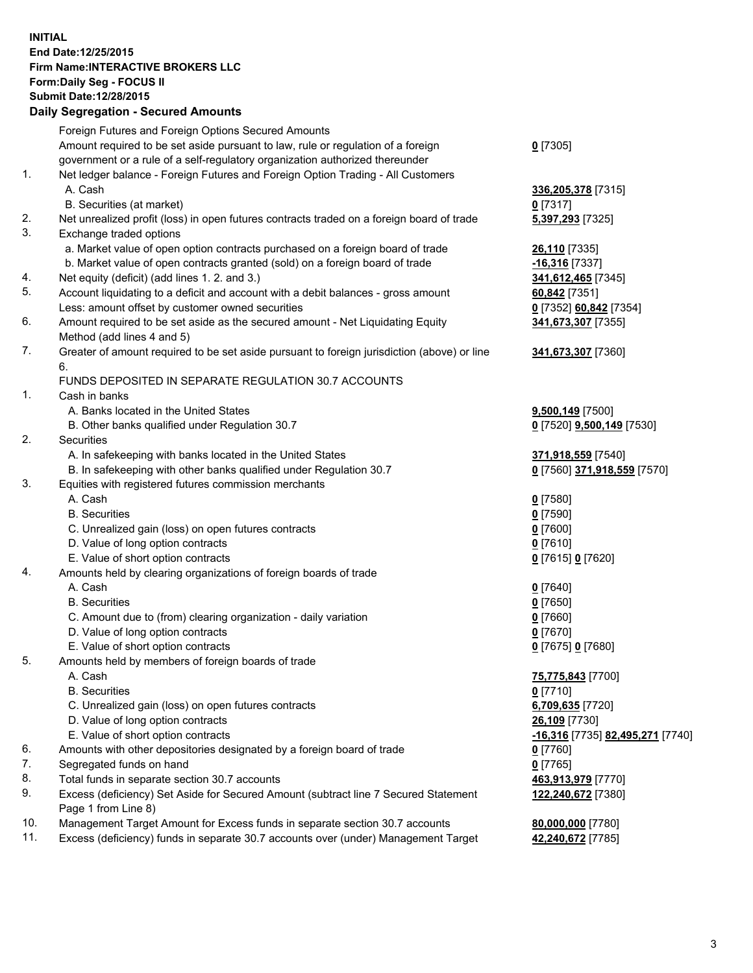## **INITIAL End Date:12/25/2015 Firm Name:INTERACTIVE BROKERS LLC Form:Daily Seg - FOCUS II Submit Date:12/28/2015 Daily Segregation - Secured Amounts**

|     | Daily Ocglegation - Occuled Amounts                                                                        |                                  |
|-----|------------------------------------------------------------------------------------------------------------|----------------------------------|
|     | Foreign Futures and Foreign Options Secured Amounts                                                        |                                  |
|     | Amount required to be set aside pursuant to law, rule or regulation of a foreign                           | $0$ [7305]                       |
|     | government or a rule of a self-regulatory organization authorized thereunder                               |                                  |
| 1.  | Net ledger balance - Foreign Futures and Foreign Option Trading - All Customers                            |                                  |
|     | A. Cash                                                                                                    | 336, 205, 378 [7315]             |
|     | B. Securities (at market)                                                                                  | $0$ [7317]                       |
| 2.  | Net unrealized profit (loss) in open futures contracts traded on a foreign board of trade                  | 5,397,293 [7325]                 |
| 3.  | Exchange traded options                                                                                    |                                  |
|     | a. Market value of open option contracts purchased on a foreign board of trade                             | 26,110 [7335]                    |
|     | b. Market value of open contracts granted (sold) on a foreign board of trade                               | $-16,316$ [7337]                 |
| 4.  | Net equity (deficit) (add lines 1.2. and 3.)                                                               | 341,612,465 [7345]               |
| 5.  | Account liquidating to a deficit and account with a debit balances - gross amount                          | 60,842 [7351]                    |
|     | Less: amount offset by customer owned securities                                                           | 0 [7352] 60,842 [7354]           |
| 6.  | Amount required to be set aside as the secured amount - Net Liquidating Equity                             | 341,673,307 [7355]               |
|     | Method (add lines 4 and 5)                                                                                 |                                  |
| 7.  | Greater of amount required to be set aside pursuant to foreign jurisdiction (above) or line                | 341,673,307 [7360]               |
|     | 6.                                                                                                         |                                  |
|     | FUNDS DEPOSITED IN SEPARATE REGULATION 30.7 ACCOUNTS                                                       |                                  |
| 1.  | Cash in banks                                                                                              |                                  |
|     | A. Banks located in the United States                                                                      | 9,500,149 [7500]                 |
|     | B. Other banks qualified under Regulation 30.7                                                             | 0 [7520] 9,500,149 [7530]        |
| 2.  | Securities                                                                                                 |                                  |
|     | A. In safekeeping with banks located in the United States                                                  | 371,918,559 [7540]               |
|     | B. In safekeeping with other banks qualified under Regulation 30.7                                         | 0 [7560] 371,918,559 [7570]      |
| 3.  | Equities with registered futures commission merchants                                                      |                                  |
|     | A. Cash                                                                                                    | $0$ [7580]                       |
|     | <b>B.</b> Securities                                                                                       | $0$ [7590]                       |
|     | C. Unrealized gain (loss) on open futures contracts                                                        | $0$ [7600]                       |
|     | D. Value of long option contracts                                                                          | $0$ [7610]                       |
|     | E. Value of short option contracts                                                                         | 0 [7615] 0 [7620]                |
| 4.  | Amounts held by clearing organizations of foreign boards of trade                                          |                                  |
|     | A. Cash                                                                                                    | $0$ [7640]                       |
|     | <b>B.</b> Securities                                                                                       | $0$ [7650]                       |
|     | C. Amount due to (from) clearing organization - daily variation                                            | $0$ [7660]                       |
|     | D. Value of long option contracts                                                                          | $0$ [7670]                       |
|     | E. Value of short option contracts                                                                         | 0 [7675] 0 [7680]                |
| 5.  | Amounts held by members of foreign boards of trade                                                         |                                  |
|     | A. Cash                                                                                                    | 75,775,843 [7700]                |
|     | <b>B.</b> Securities                                                                                       | 0 [7710]                         |
|     | C. Unrealized gain (loss) on open futures contracts                                                        | 6,709,635 [7720]                 |
|     | D. Value of long option contracts                                                                          | 26,109 [7730]                    |
|     | E. Value of short option contracts                                                                         | -16,316 [7735] 82,495,271 [7740] |
| 6.  | Amounts with other depositories designated by a foreign board of trade                                     | 0 [7760]                         |
| 7.  | Segregated funds on hand                                                                                   | $0$ [7765]                       |
| 8.  | Total funds in separate section 30.7 accounts                                                              | 463,913,979 [7770]               |
| 9.  | Excess (deficiency) Set Aside for Secured Amount (subtract line 7 Secured Statement<br>Page 1 from Line 8) | 122,240,672 [7380]               |
| 10. | Management Target Amount for Excess funds in separate section 30.7 accounts                                | 80,000,000 [7780]                |
| 11. | Excess (deficiency) funds in separate 30.7 accounts over (under) Management Target                         | 42,240,672 [7785]                |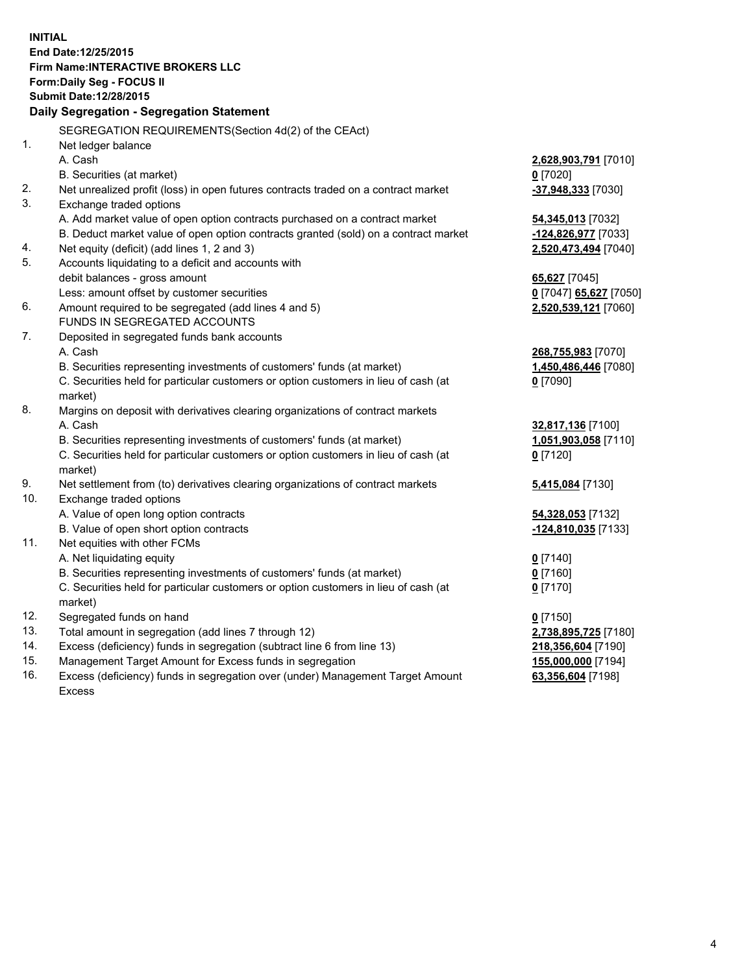**INITIAL End Date:12/25/2015 Firm Name:INTERACTIVE BROKERS LLC Form:Daily Seg - FOCUS II Submit Date:12/28/2015 Daily Segregation - Segregation Statement** SEGREGATION REQUIREMENTS(Section 4d(2) of the CEAct) 1. Net ledger balance A. Cash **2,628,903,791** [7010] B. Securities (at market) **0** [7020] 2. Net unrealized profit (loss) in open futures contracts traded on a contract market **-37,948,333** [7030] 3. Exchange traded options A. Add market value of open option contracts purchased on a contract market **54,345,013** [7032] B. Deduct market value of open option contracts granted (sold) on a contract market **-124,826,977** [7033] 4. Net equity (deficit) (add lines 1, 2 and 3) **2,520,473,494** [7040] 5. Accounts liquidating to a deficit and accounts with debit balances - gross amount **65,627** [7045] Less: amount offset by customer securities **0** [7047] **65,627** [7050] 6. Amount required to be segregated (add lines 4 and 5) **2,520,539,121** [7060] FUNDS IN SEGREGATED ACCOUNTS 7. Deposited in segregated funds bank accounts A. Cash **268,755,983** [7070] B. Securities representing investments of customers' funds (at market) **1,450,486,446** [7080] C. Securities held for particular customers or option customers in lieu of cash (at market) **0** [7090] 8. Margins on deposit with derivatives clearing organizations of contract markets A. Cash **32,817,136** [7100] B. Securities representing investments of customers' funds (at market) **1,051,903,058** [7110] C. Securities held for particular customers or option customers in lieu of cash (at market) **0** [7120] 9. Net settlement from (to) derivatives clearing organizations of contract markets **5,415,084** [7130] 10. Exchange traded options A. Value of open long option contracts **54,328,053** [7132] B. Value of open short option contracts **-124,810,035** [7133] 11. Net equities with other FCMs A. Net liquidating equity **0** [7140] B. Securities representing investments of customers' funds (at market) **0** [7160] C. Securities held for particular customers or option customers in lieu of cash (at market) **0** [7170] 12. Segregated funds on hand **0** [7150] 13. Total amount in segregation (add lines 7 through 12) **2,738,895,725** [7180] 14. Excess (deficiency) funds in segregation (subtract line 6 from line 13) **218,356,604** [7190] 15. Management Target Amount for Excess funds in segregation **155,000,000** [7194] **63,356,604** [7198]

16. Excess (deficiency) funds in segregation over (under) Management Target Amount Excess